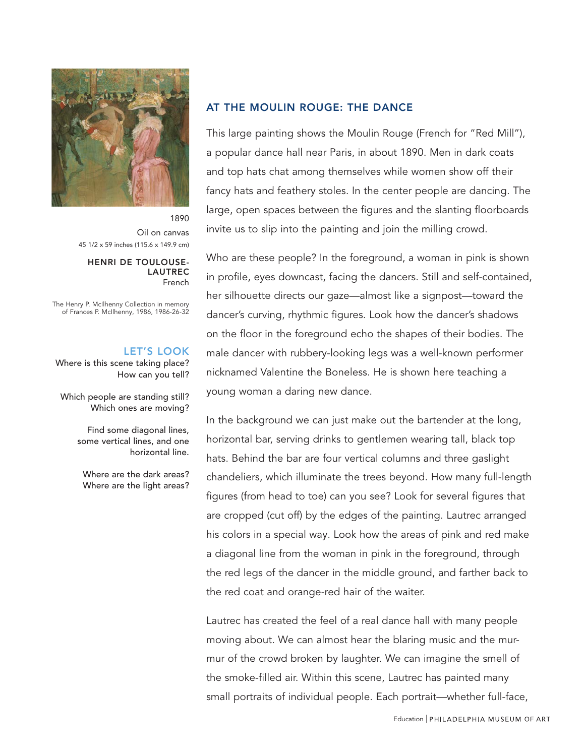

1890 Oil on canvas 45 1/2 x 59 inches (115.6 x 149.9 cm)

#### HENRI DE TOULOUSE-LAUTREC French

The Henry P. McIlhenny Collection in memory of Frances P. McIlhenny, 1986, 1986-26-32

### LET'S LOOK

Where is this scene taking place? How can you tell?

Which people are standing still? Which ones are moving?

> Find some diagonal lines, some vertical lines, and one horizontal line.

Where are the dark areas? Where are the light areas?

# AT THE MOULIN ROUGE: THE DANCE

This large painting shows the Moulin Rouge (French for "Red Mill"), a popular dance hall near Paris, in about 1890. Men in dark coats and top hats chat among themselves while women show off their fancy hats and feathery stoles. In the center people are dancing. The large, open spaces between the figures and the slanting floorboards invite us to slip into the painting and join the milling crowd.

Who are these people? In the foreground, a woman in pink is shown in profile, eyes downcast, facing the dancers. Still and self-contained, her silhouette directs our gaze—almost like a signpost—toward the dancer's curving, rhythmic figures. Look how the dancer's shadows on the floor in the foreground echo the shapes of their bodies. The male dancer with rubbery-looking legs was a well-known performer nicknamed Valentine the Boneless. He is shown here teaching a young woman a daring new dance.

In the background we can just make out the bartender at the long, horizontal bar, serving drinks to gentlemen wearing tall, black top hats. Behind the bar are four vertical columns and three gaslight chandeliers, which illuminate the trees beyond. How many full-length figures (from head to toe) can you see? Look for several figures that are cropped (cut off) by the edges of the painting. Lautrec arranged his colors in a special way. Look how the areas of pink and red make a diagonal line from the woman in pink in the foreground, through the red legs of the dancer in the middle ground, and farther back to the red coat and orange-red hair of the waiter.

Lautrec has created the feel of a real dance hall with many people moving about. We can almost hear the blaring music and the murmur of the crowd broken by laughter. We can imagine the smell of the smoke-filled air. Within this scene, Lautrec has painted many small portraits of individual people. Each portrait—whether full-face,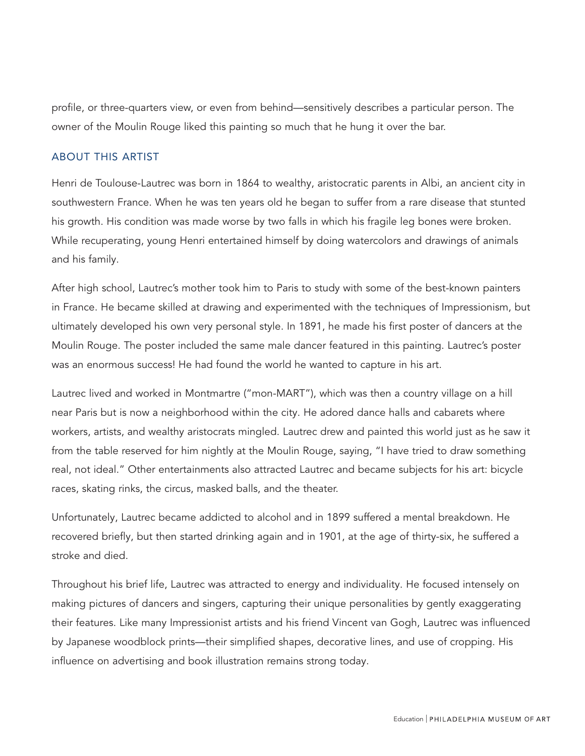profile, or three-quarters view, or even from behind—sensitively describes a particular person. The owner of the Moulin Rouge liked this painting so much that he hung it over the bar.

# ABOUT THIS ARTIST

Henri de Toulouse-Lautrec was born in 1864 to wealthy, aristocratic parents in Albi, an ancient city in southwestern France. When he was ten years old he began to suffer from a rare disease that stunted his growth. His condition was made worse by two falls in which his fragile leg bones were broken. While recuperating, young Henri entertained himself by doing watercolors and drawings of animals and his family.

After high school, Lautrec's mother took him to Paris to study with some of the best-known painters in France. He became skilled at drawing and experimented with the techniques of Impressionism, but ultimately developed his own very personal style. In 1891, he made his first poster of dancers at the Moulin Rouge. The poster included the same male dancer featured in this painting. Lautrec's poster was an enormous success! He had found the world he wanted to capture in his art.

Lautrec lived and worked in Montmartre ("mon-MART"), which was then a country village on a hill near Paris but is now a neighborhood within the city. He adored dance halls and cabarets where workers, artists, and wealthy aristocrats mingled. Lautrec drew and painted this world just as he saw it from the table reserved for him nightly at the Moulin Rouge, saying, "I have tried to draw something real, not ideal." Other entertainments also attracted Lautrec and became subjects for his art: bicycle races, skating rinks, the circus, masked balls, and the theater.

Unfortunately, Lautrec became addicted to alcohol and in 1899 suffered a mental breakdown. He recovered briefly, but then started drinking again and in 1901, at the age of thirty-six, he suffered a stroke and died.

Throughout his brief life, Lautrec was attracted to energy and individuality. He focused intensely on making pictures of dancers and singers, capturing their unique personalities by gently exaggerating their features. Like many Impressionist artists and his friend Vincent van Gogh, Lautrec was influenced by Japanese woodblock prints—their simplified shapes, decorative lines, and use of cropping. His influence on advertising and book illustration remains strong today.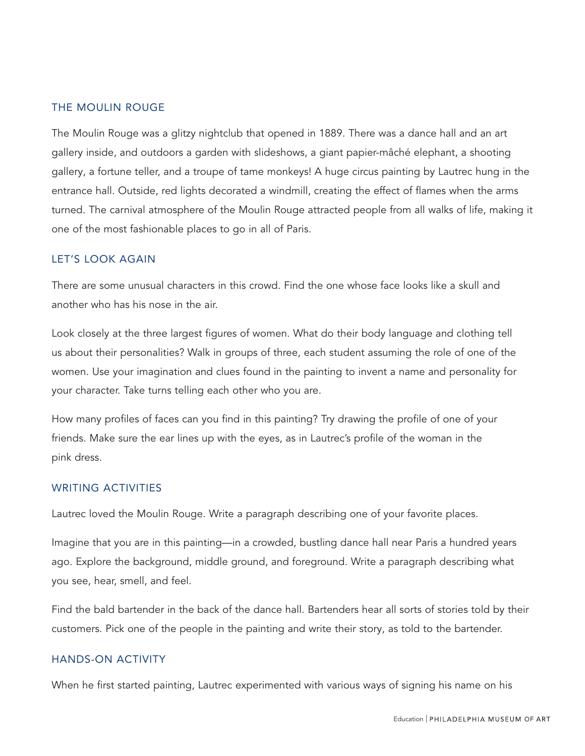## THE MOULIN ROUGE

The Moulin Rouge was a glitzy nightclub that opened in 1889. There was a dance hall and an art gallery inside, and outdoors a garden with slideshows, a giant papier-mâché elephant, a shooting gallery, a fortune teller, and a troupe of tame monkeys! A huge circus painting by Lautrec hung in the entrance hall. Outside, red lights decorated a windmill, creating the effect of flames when the arms turned. The carnival atmosphere of the Moulin Rouge attracted people from all walks of life, making it one of the most fashionable places to go in all of Paris.

#### LET'S LOOK AGAIN

There are some unusual characters in this crowd. Find the one whose face looks like a skull and another who has his nose in the air.

Look closely at the three largest figures of women. What do their body language and clothing tell us about their personalities? Walk in groups of three, each student assuming the role of one of the women. Use your imagination and clues found in the painting to invent a name and personality for your character. Take turns telling each other who you are.

How many profiles of faces can you find in this painting? Try drawing the profile of one of your friends. Make sure the ear lines up with the eyes, as in Lautrec's profile of the woman in the pink dress.

## WRITING ACTIVITIES

Lautrec loved the Moulin Rouge. Write a paragraph describing one of your favorite places.

Imagine that you are in this painting—in a crowded, bustling dance hall near Paris a hundred years ago. Explore the background, middle ground, and foreground. Write a paragraph describing what you see, hear, smell, and feel.

Find the bald bartender in the back of the dance hall. Bartenders hear all sorts of stories told by their customers. Pick one of the people in the painting and write their story, as told to the bartender.

#### HANDS-ON ACTIVITY

When he first started painting, Lautrec experimented with various ways of signing his name on his